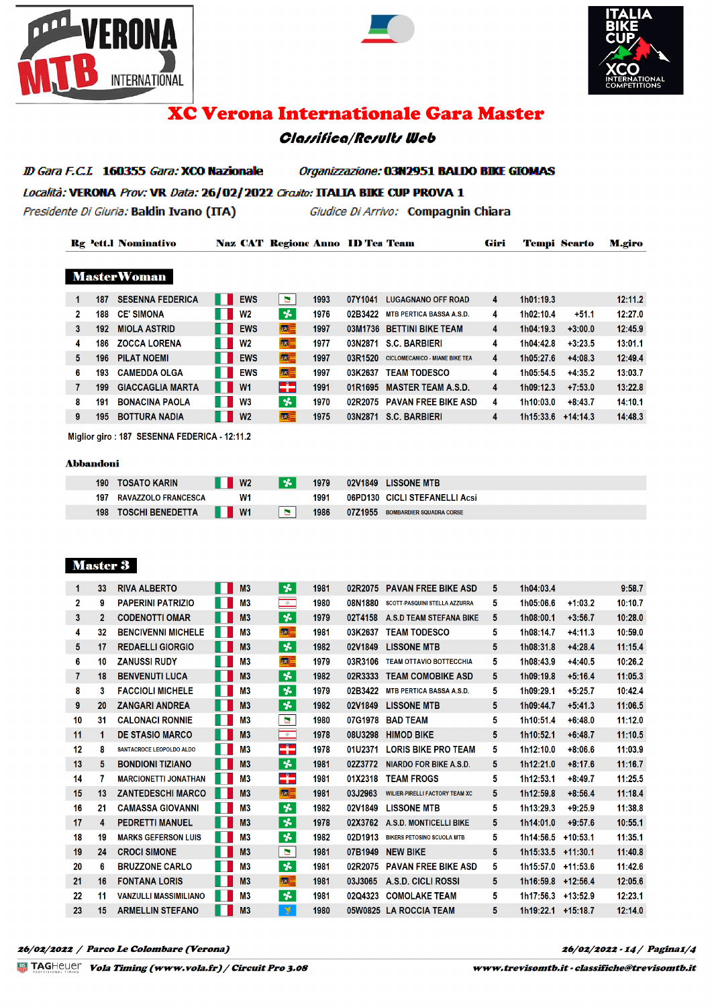





# **XC Verona Internationale Gara Master**

# **Classifica/Results Web**

ID Gara F.C.L 160355 Gara: XCO Nazionale Organizzazione: 03N2951 BALDO BIKE GIOMAS Località: VERONA Prov: VR Data: 26/02/2022 Circuito: ITALIA BIKE CUP PROVA 1

Presidente Di Giuria: Baldin Ivano (ITA)

Giudice Di Arrivo: Compagnin Chiara

|   |      | <b>Rg Pett.I Nominativo</b> |                | <b>Naz CAT Regione Anno ID Tea Team</b> |      |         |                                       | Giri |           | <b>Tempi Scarto</b> | <b>M.giro</b> |
|---|------|-----------------------------|----------------|-----------------------------------------|------|---------|---------------------------------------|------|-----------|---------------------|---------------|
|   |      | <b>MasterWoman</b>          |                |                                         |      |         |                                       |      |           |                     |               |
|   | 187  | <b>SESENNA FEDERICA</b>     | <b>EWS</b>     | N                                       | 1993 | 07Y1041 | <b>LUGAGNANO OFF ROAD</b>             | 4    | 1h01:19.3 |                     | 12:11.2       |
| 2 | 188  | <b>CE' SIMONA</b>           | W <sub>2</sub> | $\boldsymbol{\gamma}$                   | 1976 | 02B3422 | <b>MTB PERTICA BASSA A.S.D.</b>       | 4    | 1h02:10.4 | $+51.1$             | 12:27.0       |
| 3 | 192  | <b>MIOLA ASTRID</b>         | <b>EWS</b>     | <b>kat</b>                              | 1997 | 03M1736 | <b>BETTINI BIKE TEAM</b>              | 4    | 1h04:19.3 | $+3:00.0$           | 12:45.9       |
| 4 | 186  | <b>ZOCCA LORENA</b>         | <b>W2</b>      | <b>SEE</b>                              | 1977 | 03N2871 | <b>S.C. BARBIERI</b>                  | 4    | 1h04:42.8 | $+3:23.5$           | 13:01.1       |
| 5 | 196. | <b>PILAT NOEMI</b>          | <b>EWS</b>     | <b>Iss</b>                              | 1997 | 03R1520 | <b>CICLOMECANICO - MIANE BIKE TEA</b> | 4    | 1h05:27.6 | $+4:08.3$           | 12:49.4       |

|    |                           | -----                    |              | .    |                             |                      |           | .       |
|----|---------------------------|--------------------------|--------------|------|-----------------------------|----------------------|-----------|---------|
| 6. | 193 CAMEDDA OLGA          | <b>THEWS</b>             | <b>kxE</b>   | 1997 | 03K2637 TEAM TODESCO        | 1h05:54.5            | $+4:35.2$ | 13:03.7 |
|    | 199 GIACCAGLIA MARTA      | $\blacksquare$ W1        | -75          | 1991 | 01R1695 MASTER TEAM A.S.D.  | $1h09:12.3$ +7:53.0  |           | 13:22.8 |
|    | <b>191 BONACINA PAOLA</b> | <b>II</b> W <sub>3</sub> | $\mathbf{x}$ | 1970 | 02R2075 PAVAN FREE BIKE ASD | 1h10:03.0            | $+8:43.7$ | 14:10.1 |
|    | <b>195 BOTTURA NADIA</b>  | $\blacksquare$ W2        | <b>Isk</b>   | 1975 | 03N2871 S.C. BARBIERI       | $1h15:33.6$ +14:14.3 |           | 14:48.3 |
|    |                           |                          |              |      |                             |                      |           |         |

Miglior giro: 187 SESENNA FEDERICA - 12:11.2

#### **Abbandoni**

| 190 | <b>TOSATO KARIN</b>        | W <sub>2</sub>             | <b>VA</b> | 1979 | 02V1849 LISSONE MTB                        |
|-----|----------------------------|----------------------------|-----------|------|--------------------------------------------|
| 197 | <b>RAVAZZOLO FRANCESCA</b> | W <sub>1</sub>             |           | 1991 | 06PD130 CICLI STEFANELLI Acsi              |
| 198 | <b>TOSCHI BENEDETTA</b>    | $\blacksquare$ W1<br>N TIN |           | 1986 | 07Z1955<br><b>BOMBARDIER SQUADRA CORSE</b> |

### **Master 3**

| 33           | <b>RIVA ALBERTO</b>          | M <sub>3</sub> | $\boldsymbol{\star}$ | 1981 | 02R2075 | <b>PAVAN FREE BIKE ASD</b>            | 5.                     | 1h04:03.4 |            | 9:58.7    |
|--------------|------------------------------|----------------|----------------------|------|---------|---------------------------------------|------------------------|-----------|------------|-----------|
| 9            | <b>PAPERINI PATRIZIO</b>     | M <sub>3</sub> | $\Rightarrow$        | 1980 | 08N1880 | SCOTT-PASQUINI STELLA AZZURRA         | 5.                     | 1h05:06.6 | $+1:03.2$  | 10:10.7   |
| $\mathbf{2}$ | <b>CODENOTTI OMAR</b>        | M <sub>3</sub> | 长                    | 1979 | 02T4158 | A.S.D TEAM STEFANA BIKE               | 5                      | 1h08:00.1 | $+3:56.7$  | 10:28.0   |
| 32           | <b>BENCIVENNI MICHELE</b>    | M <sub>3</sub> | $ \alpha $ =         | 1981 | 03K2637 | <b>TEAM TODESCO</b>                   | 5                      | 1h08:14.7 | $+4:11.3$  | 10:59.0   |
| 17           | <b>REDAELLI GIORGIO</b>      | M <sub>3</sub> | ₩                    | 1982 | 02V1849 | <b>LISSONE MTB</b>                    | 5                      | 1h08:31.8 | $+4:28.4$  | 11:15.4   |
| 10           | <b>ZANUSSI RUDY</b>          | M3             | <b>SKE</b>           | 1979 | 03R3106 | <b>TEAM OTTAVIO BOTTECCHIA</b>        | 5.                     | 1h08:43.9 | $+4:40.5$  | 10:26.2   |
| 18           | <b>BENVENUTI LUCA</b>        | M <sub>3</sub> | *                    | 1982 | 02R3333 | <b>TEAM COMOBIKE ASD</b>              | 5.                     | 1h09:19.8 | $+5:16.4$  | 11:05.3   |
| 3            | <b>FACCIOLI MICHELE</b>      | M <sub>3</sub> | 长                    | 1979 | 02B3422 | <b>MTB PERTICA BASSA A.S.D.</b>       | 5                      | 1h09:29.1 | $+5:25.7$  | 10:42.4   |
| 20           | <b>ZANGARI ANDREA</b>        | M <sub>3</sub> | ₩                    | 1982 | 02V1849 | <b>LISSONE MTB</b>                    | 5                      | 1h09:44.7 | $+5:41.3$  | 11:06.5   |
| 31           | <b>CALONACI RONNIE</b>       | M3             | Þ                    | 1980 | 07G1978 | <b>BAD TEAM</b>                       | 5.                     | 1h10:51.4 | $+6:48.0$  | 11:12.0   |
| 1            | <b>DE STASIO MARCO</b>       | M <sub>3</sub> | $\Rightarrow$        | 1978 | 08U3298 | <b>HIMOD BIKE</b>                     | 5                      | 1h10:52.1 | $+6:48.7$  | 11:10.5   |
| 8            | SANTACROCE LEOPOLDO ALDO     | M <sub>3</sub> | FP.                  | 1978 | 01U2371 | <b>LORIS BIKE PRO TEAM</b>            | 5.                     | 1h12:10.0 | $+8:06.6$  | 11:03.9   |
| 5            | <b>BONDIONI TIZIANO</b>      | M <sub>3</sub> | $\boldsymbol{\ast}$  | 1981 | 02Z3772 | <b>NIARDO FOR BIKE A.S.D.</b>         | 5                      | 1h12:21.0 | $+8:17.6$  | 11:16.7   |
| 7            | <b>MARCIONETTI JONATHAN</b>  | M <sub>3</sub> | F.                   | 1981 | 01X2318 | <b>TEAM FROGS</b>                     | 5                      | 1h12:53.1 | $+8:49.7$  | 11:25.5   |
| 13           | <b>ZANTEDESCHI MARCO</b>     | M <sub>3</sub> | <b>KE</b>            | 1981 | 03J2963 | <b>WILIER-PIRELLI FACTORY TEAM XC</b> | 5                      | 1h12:59.8 | $+8:56.4$  | 11:18.4   |
| 21           | <b>CAMASSA GIOVANNI</b>      | M <sub>3</sub> | 长                    | 1982 | 02V1849 | <b>LISSONE MTB</b>                    | 5                      | 1h13:29.3 | $+9:25.9$  | 11:38.8   |
| 4            | <b>PEDRETTI MANUEL</b>       | M <sub>3</sub> | ₩                    | 1978 | 02X3762 | A.S.D. MONTICELLI BIKE                | 5                      | 1h14:01.0 | $+9:57.6$  | 10:55.1   |
| 19           | <b>MARKS GEFERSON LUIS</b>   | M <sub>3</sub> | 长                    | 1982 | 02D1913 | <b>BIKERS PETOSINO SCUOLA MTB</b>     | 5                      | 1h14:56.5 | $+10:53.1$ | 11:35.1   |
| 24           | <b>CROCI SIMONE</b>          | M <sub>3</sub> | $\blacksquare$       | 1981 | 07B1949 | <b>NEW BIKE</b>                       | 5                      | 1h15:33.5 | $+11:30.1$ | 11:40.8   |
| 6            | <b>BRUZZONE CARLO</b>        | M <sub>3</sub> | ₩                    | 1981 | 02R2075 | <b>PAVAN FREE BIKE ASD</b>            | 5.                     | 1h15:57.0 | $+11:53.6$ | 11:42.6   |
| 16           | <b>FONTANA LORIS</b>         | M <sub>3</sub> | <b>SEE</b>           | 1981 | 03J3065 | A.S.D. CICLI ROSSI                    | 5                      | 1h16:59.8 | $+12:56.4$ | 12:05.6   |
| 11           | <b>VANZULLI MASSIMILIANO</b> | M <sub>3</sub> | 头                    | 1981 | 02Q4323 | <b>COMOLAKE TEAM</b>                  | 5                      | 1h17:56.3 | $+13:52.9$ | 12:23.1   |
| 15           | <b>ARMELLIN STEFANO</b>      | M <sub>3</sub> | 墨                    | 1980 |         |                                       | 5                      |           | $+15:18.7$ | 12:14.0   |
|              |                              |                |                      |      |         |                                       | 05W0825 LA ROCCIA TEAM |           |            | 1h19:22.1 |

26/02/2022 - 14 / Pagina1/4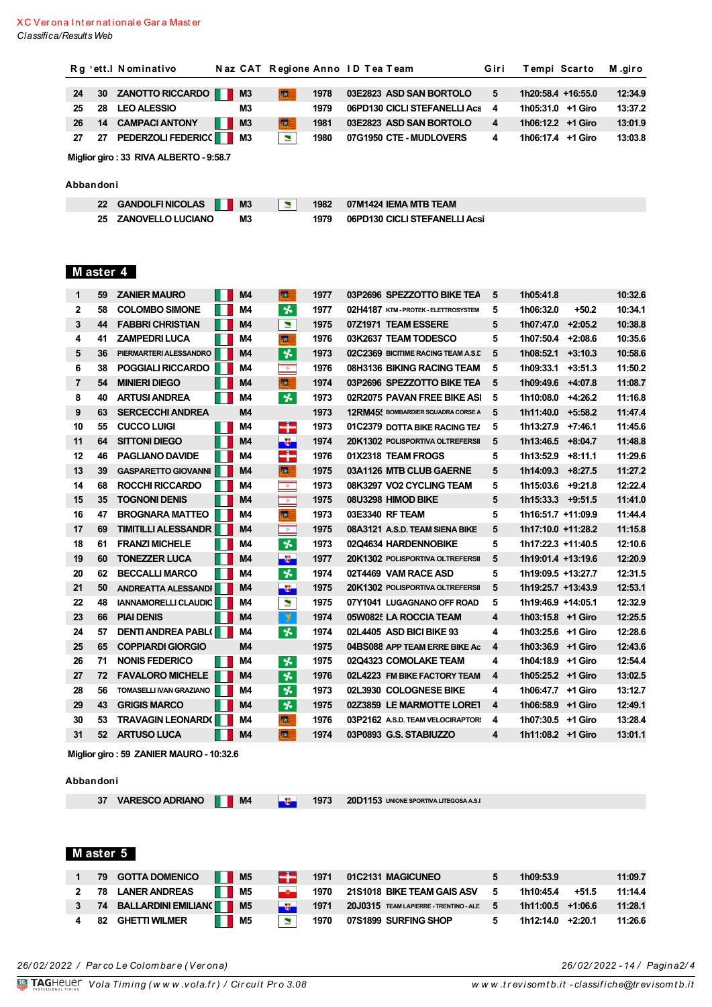|                |           | Rg 'ett.I Nominativo                       |                | Naz CAT Regione Anno ID Tea Team |              |                                                        | Giri   | Tempi Scarto                           |       | M.giro             |
|----------------|-----------|--------------------------------------------|----------------|----------------------------------|--------------|--------------------------------------------------------|--------|----------------------------------------|-------|--------------------|
| 24             | 30        | <b>ZANOTTO RICCARDO</b>                    | M <sub>3</sub> | 客                                | 1978         | 03E2823 ASD SAN BORTOLO                                | 5      | 1h20:58.4 +16:55.0                     |       | 12:34.9            |
| 25             | 28        | <b>LEO ALESSIO</b>                         | M3             |                                  | 1979         | 06PD130 CICLI STEFANELLI Acs                           | 4      | 1h05:31.0 +1 Giro                      |       | 13:37.2            |
| 26             | 14        | <b>CAMPACI ANTONY</b>                      | M <sub>3</sub> | 图                                | 1981         | 03E2823 ASD SAN BORTOLO                                | 4      | 1h06:12.2 +1 Giro                      |       | 13:01.9            |
| 27             | 27        | <b>PEDERZOLI FEDERIC()</b>                 | M3             | $\mathbf{N}$                     | 1980         | 07G1950 CTE - MUDLOVERS                                | 4      | 1h06:17.4 +1 Giro                      |       | 13:03.8            |
|                |           |                                            |                |                                  |              |                                                        |        |                                        |       |                    |
|                |           | Miglior giro: 33 RIVA ALBERTO - 9:58.7     |                |                                  |              |                                                        |        |                                        |       |                    |
|                | Abbandoni |                                            |                |                                  |              |                                                        |        |                                        |       |                    |
|                | 22        | <b>GANDOLFI NICOLAS</b>                    |                |                                  | 1982         | 07M1424 IEMA MTB TEAM                                  |        |                                        |       |                    |
|                | 25        | <b>ZANOVELLO LUCIANO</b>                   | M3<br>M3       | $\mathbf{z}$                     | 1979         | 06PD130 CICLI STEFANELLI Acsi                          |        |                                        |       |                    |
|                |           |                                            |                |                                  |              |                                                        |        |                                        |       |                    |
|                |           |                                            |                |                                  |              |                                                        |        |                                        |       |                    |
|                |           |                                            |                |                                  |              |                                                        |        |                                        |       |                    |
|                | M aster 4 |                                            |                |                                  |              |                                                        |        |                                        |       |                    |
| $\mathbf{1}$   | 59        | <b>ZANIER MAURO</b>                        | M4             | <b>KSE</b>                       | 1977         | 03P2696 SPEZZOTTO BIKE TEA                             | 5      | 1h05:41.8                              |       | 10:32.6            |
| $\mathbf{2}$   | 58        | <b>COLOMBO SIMONE</b>                      | M4             | $\boldsymbol{\star}$             | 1977         | 02H4187 KTM-PROTEK-ELETTROSYSTEM                       | 5      | 1h06:32.0                              | +50.2 | 10:34.1            |
| 3              | 44        | <b>FABBRI CHRISTIAN</b>                    | M4             | $\blacksquare$                   | 1975         | 07Z1971 TEAM ESSERE                                    | 5      | $1h07:47.0$ +2:05.2                    |       | 10:38.8            |
| 4              | 41        | <b>ZAMPEDRI LUCA</b>                       | M4             | 國目                               | 1976         | 03K2637 TEAM TODESCO                                   | 5      | 1h07:50.4 +2:08.6                      |       | 10:35.6            |
| 5              | 36        | PIERMARTERI ALESSANDRO                     | M4             | $\star$                          | 1973         | 02C2369 BICITIME RACING TEAM A.S.D                     | 5      | $1h08:52.1$ +3:10.3                    |       | 10:58.6            |
| 6              | 38        | POGGIALI RICCARDO                          | M4             | $\phi$                           | 1976         | 08H3136 BIKING RACING TEAM                             | 5      | $1h09:33.1$ +3:51.3                    |       | 11:50.2            |
| $\overline{7}$ | 54        | <b>MINIERI DIEGO</b>                       | M4             | <b>SA</b>                        | 1974         | 03P2696 SPEZZOTTO BIKE TEA                             | 5      | 1h09:49.6 +4:07.8                      |       | 11:08.7            |
| 8              | 40        | <b>ARTUSI ANDREA</b>                       | M4             | $\star$                          | 1973         | 02R2075 PAVAN FREE BIKE ASI                            | 5      | 1h10:08.0 +4:26.2                      |       | 11:16.8            |
| 9              | 63        | <b>SERCECCHI ANDREA</b>                    | M4             |                                  | 1973         | <b>12RM45: BOMBARDIER SQUADRA CORSE A</b>              | 5      | 1h11:40.0 +5:58.2                      |       | 11:47.4            |
| 10             | 55        | <b>CUCCO LUIGI</b>                         | M4             | rin.<br>D                        | 1973         | 01C2379 DOTTA BIKE RACING TEA                          | 5      | $1h13:27.9$ +7:46.1                    |       | 11:45.6            |
| 11             | 64        | <b>SITTONI DIEGO</b>                       | M4             | -5                               | 1974         | <b>20K1302 POLISPORTIVA OLTREFERSII</b>                | 5      | $1h13:46.5$ +8:04.7                    |       | 11:48.8            |
| 12             | 46        | <b>PAGLIANO DAVIDE</b>                     | M4             | ÷                                | 1976         | 01X2318 TEAM FROGS                                     | 5      | 1h13:52.9 +8:11.1                      |       | 11:29.6            |
| 13             | 39        | <b>GASPARETTO GIOVANNI</b>                 | M4             | 圖                                | 1975         | 03A1126 MTB CLUB GAERNE                                | 5      | 1h14:09.3 +8:27.5                      |       | 11:27.2            |
| 14             | 68        | ROCCHI RICCARDO                            | M4             | $\phi$                           | 1973         | 08K3297 VO2 CYCLING TEAM                               | 5      | $1h15:03.6$ +9:21.8                    |       | 12:22.4            |
| 15             | 35        | <b>TOGNONI DENIS</b>                       | M4             | $\phi$                           | 1975         | 08U3298 HIMOD BIKE                                     | 5      | $1h15:33.3$ +9:51.5                    |       | 11:41.0            |
| 16             | 47        | <b>BROGNARA MATTEO</b>                     | M4             | 图                                | 1973         | 03E3340 RF TEAM                                        | 5      | 1h16:51.7 +11:09.9                     |       | 11:44.4            |
| 17             | 69        | <b>TIMITILLI ALESSANDR</b>                 | M4             | $\frac{1}{2}$                    | 1975         | 08A3121 A.S.D. TEAM SIENA BIKE                         | 5      | 1h17:10.0 +11:28.2                     |       | 11:15.8            |
| 18             | 61        | <b>FRANZI MICHELE</b>                      | M4             | $\boldsymbol{\star}$             | 1973         | 02Q4634 HARDENNOBIKE                                   | 5      | 1h17:22.3 +11:40.5                     |       | 12:10.6            |
| 19             | 60        | <b>TONEZZER LUCA</b>                       | M4             | ÷                                | 1977         | 20K1302 POLISPORTIVA OLTREFERSII                       | 5      | 1h19:01.4 +13:19.6                     |       | 12:20.9            |
| 20             | 62        | <b>BECCALLI MARCO</b>                      | M4             | $\overline{\mathbf{r}}$          | 1974         | 02T4469 VAM RACE ASD                                   | 5      | 1h19:09.5 +13:27.7                     |       | 12:31.5            |
| 21             | 50        | ANDREATTA ALESSANDI                        | M4             | $\frac{1}{2}$                    | 1975         | 20K1302 POLISPORTIVA OLTREFERSII                       | 5      | 1h19:25.7 +13:43.9                     |       | 12:53.1            |
| 22             | 48        | IANNAMORELLI CLAUDIC                       | M4             | N.                               | 1975         | 07Y1041 LUGAGNANO OFF ROAD                             | 5      | 1h19:46.9 +14:05.1                     |       | 12:32.9            |
| 23             | 66        | <b>PIAI DENIS</b>                          | M4             | 墨                                | 1974         | 05W0825 LA ROCCIA TEAM                                 | 4      | 1h03:15.8 +1 Giro                      |       | 12:25.5            |
| 24             | 57        | <b>DENTI ANDREA PABLI</b>                  | M4             | $\boldsymbol{\star}$             | 1974         | 02L4405 ASD BICI BIKE 93                               | 4      | 1h03:25.6 +1 Giro                      |       | 12:28.6            |
| 25<br>26       | 65<br>71  | <b>COPPIARDI GIORGIO</b><br>NONIS FEDERICO | M4<br>M4       | 长                                | 1975<br>1975 | 04BS088 APP TEAM ERRE BIKE Ac<br>02Q4323 COMOLAKE TEAM | 4<br>4 | 1h03:36.9 +1 Giro<br>1h04:18.9 +1 Giro |       | 12:43.6<br>12:54.4 |
| 27             | 72        | <b>FAVALORO MICHELE</b>                    | M4             | *                                | 1976         | 02L4223 FM BIKE FACTORY TEAM                           | 4      | 1h05:25.2 +1 Giro                      |       | 13:02.5            |
| 28             | 56        | TOMASELLI IVAN GRAZIANO                    | M4             | $\boldsymbol{\star}$             | 1973         | 02L3930 COLOGNESE BIKE                                 | 4      | 1h06:47.7 +1 Giro                      |       | 13:12.7            |
| 29             |           | 43 GRIGIS MARCO                            | M4             | $\boldsymbol{\star}$             | 1975         | 02Z3859 LE MARMOTTE LORET                              | 4      | 1h06:58.9 +1 Giro                      |       | 12:49.1            |
| 30             | 53        | <b>TRAVAGIN LEONARD()</b>                  | M4             | 图目                               | 1976         | 03P2162 A.S.D. TEAM VELOCIRAPTOR:                      | 4      | 1h07:30.5 +1 Giro                      |       | 13:28.4            |
| 31             |           | 52 ARTUSO LUCA                             | M4             | <b>SEE</b>                       | 1974         | 03P0893 G.S. STABIUZZO                                 | 4      | 1h11:08.2 +1 Giro                      |       | 13:01.1            |
|                |           | -----------                                |                |                                  |              |                                                        |        |                                        |       |                    |

Miglior giro: 59 ZANIER MAURO - 10:32.6

#### Abbandoni

| 37 VARESCO ADRIANO 1 M4 |  |
|-------------------------|--|
|-------------------------|--|

1973 20D1153 UNIONE SPORTIVA LITEGOSA A.S.I

# Master 5

|             | 79 GOTTA DOMENICO           | $\blacksquare$ M5 | التبتي         | 1971 | 01C2131 MAGICUNEO                        | 1h09:53.9           |         | 11:09.7 |
|-------------|-----------------------------|-------------------|----------------|------|------------------------------------------|---------------------|---------|---------|
| $2^{\circ}$ | 78 LANER ANDREAS            | $\blacksquare$ M5 | $-\sigma$      | 1970 | 21S1018 BIKE TEAM GAIS ASV               | 1h10:45.4           | $+51.5$ | 11:14.4 |
|             | 3 74 BALLARDINI EMILIAN(KMS |                   | -31            | 1971 | 20J0315 TEAM LAPIERRE - TRENTINO - ALE 5 | 1h11:00.5 +1:06.6   |         | 11:28.1 |
|             | 82 GHETTI WILMER            | <b>M5</b>         | $\blacksquare$ | 1970 | 07S1899 SURFING SHOP                     | $1h12:14.0 +2:20.1$ |         | 11:26.6 |

 $-35$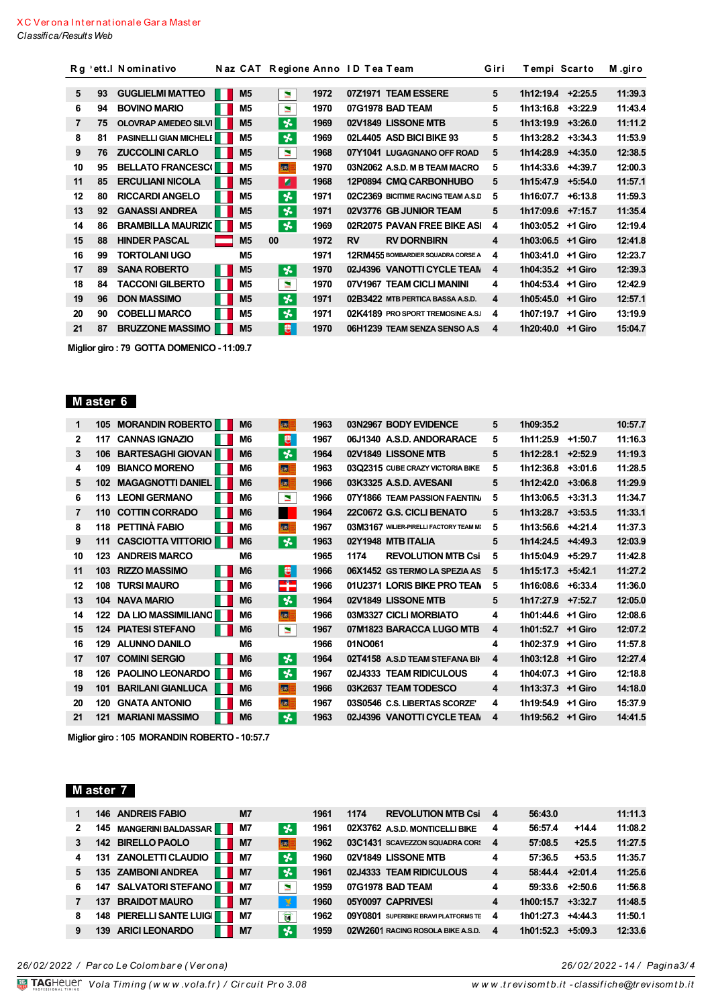|                |    | Rg 'ett. IN ominativo         | Naz CAT        | Regione Anno ID Tea Team |           |                                           | Giri | Tempi Scarto |           | M.giro  |
|----------------|----|-------------------------------|----------------|--------------------------|-----------|-------------------------------------------|------|--------------|-----------|---------|
|                |    |                               |                |                          |           |                                           |      |              |           |         |
| 5              | 93 | <b>GUGLIELMI MATTEO</b>       | M <sub>5</sub> | 1972<br>$\blacksquare$   |           | 07Z1971 TEAM ESSERE                       | 5    | 1h12:19.4    | $+2:25.5$ | 11:39.3 |
| 6              | 94 | <b>BOVINO MARIO</b>           | M <sub>5</sub> | $\blacksquare$<br>1970   |           | 07G1978 BAD TEAM                          | 5    | 1h13:16.8    | $+3:22.9$ | 11:43.4 |
| $\overline{7}$ | 75 | <b>OLOVRAP AMEDEO SILVI</b>   | M <sub>5</sub> | 长<br>1969                |           | 02V1849 LISSONE MTB                       | 5    | 1h13:19.9    | $+3:26.0$ | 11:11.2 |
| 8              | 81 | <b>PASINELLI GIAN MICHELI</b> | M5             | ₩<br>1969                |           | 02L4405 ASD BICI BIKE 93                  | 5    | 1h13:28.2    | $+3:34.3$ | 11:53.9 |
| 9              | 76 | <b>ZUCCOLINI CARLO</b>        | M <sub>5</sub> | 1968<br>м                |           | 07Y1041 LUGAGNANO OFF ROAD                | 5    | 1h14:28.9    | $+4:35.0$ | 12:38.5 |
| 10             | 95 | <b>BELLATO FRANCESCI</b>      | M <sub>5</sub> | <b>SA</b><br>1970        |           | 03N2062 A.S.D. M B TEAM MACRO             | 5    | 1h14:33.6    | $+4:39.7$ | 12:00.3 |
| 11             | 85 | <b>ERCULIANI NICOLA</b>       | M <sub>5</sub> | п<br>1968                |           | 12P0894 CMQ CARBONHUBO                    | 5    | 1h15:47.9    | $+5:54.0$ | 11:57.1 |
| 12             | 80 | <b>RICCARDI ANGELO</b>        | M <sub>5</sub> | 头<br>1971                |           | 02C2369 BICITIME RACING TEAM A.S.D        | 5    | 1h16:07.7    | $+6:13.8$ | 11:59.3 |
| 13             | 92 | <b>GANASSI ANDREA</b>         | M <sub>5</sub> | $\star$<br>1971          |           | 02V3776 GB JUNIOR TEAM                    | 5    | 1h17:09.6    | $+7:15.7$ | 11:35.4 |
| 14             | 86 | <b>BRAMBILLA MAURIZIC</b>     | M5             | 长<br>1969                |           | 02R2075 PAVAN FREE BIKE ASI               | 4    | 1h03:05.2    | +1 Giro   | 12:19.4 |
| 15             | 88 | <b>HINDER PASCAL</b>          | M <sub>5</sub> | 1972<br>00               | <b>RV</b> | <b>RV DORNBIRN</b>                        | 4    | 1h03:06.5    | $+1$ Giro | 12:41.8 |
| 16             | 99 | <b>TORTOLANI UGO</b>          | M <sub>5</sub> | 1971                     |           | <b>12RM455 BOMBARDIER SQUADRA CORSE A</b> | 4    | 1h03:41.0    | +1 Giro   | 12:23.7 |
| 17             | 89 | <b>SANA ROBERTO</b>           | M <sub>5</sub> | 客<br>1970                |           | 02J4396 VANOTTI CYCLE TEAN                | 4    | 1h04:35.2    | +1 Giro   | 12:39.3 |
| 18             | 84 | <b>TACCONI GILBERTO</b>       | M <sub>5</sub> | ×<br>1970                |           | 07V1967 TEAM CICLI MANINI                 | 4    | 1h04:53.4    | +1 Giro   | 12:42.9 |
| 19             | 96 | <b>DON MASSIMO</b>            | M <sub>5</sub> | $\star$<br>1971          |           | 02B3422 MTB PERTICA BASSA A.S.D.          | 4    | 1h05:45.0    | +1 Giro   | 12:57.1 |
| 20             | 90 | <b>COBELLI MARCO</b>          | M <sub>5</sub> | 长<br>1971                |           | 02K4189 PRO SPORT TREMOSINE A.S.          | 4    | 1h07:19.7    | +1 Giro   | 13:19.9 |
| 21             | 87 | <b>BRUZZONE MASSIMO</b>       | M <sub>5</sub> | е<br>1970                |           | 06H1239 TEAM SENZA SENSO A.S.             | 4    | 1h20:40.0    | +1 Giro   | 15:04.7 |

Miglior giro: 79 GOTTA DOMENICO - 11:09.7

## Master 6

| 1  | 105 | <b>MORANDIN ROBERTO</b>    | M <sub>6</sub> | 标                        | 1963 |         | 03N2967 BODY EVIDENCE                  | 5 | 1h09:35.2         |           | 10:57.7 |
|----|-----|----------------------------|----------------|--------------------------|------|---------|----------------------------------------|---|-------------------|-----------|---------|
| 2  | 117 | <b>CANNAS IGNAZIO</b>      | M <sub>6</sub> | ₩                        | 1967 |         | 06J1340 A.S.D. ANDORARACE              | 5 | 1h11:25.9         | $+1:50.7$ | 11:16.3 |
| 3  | 106 | <b>BARTESAGHI GIOVAN</b>   | M <sub>6</sub> | ₩                        | 1964 |         | 02V1849 LISSONE MTB                    | 5 | 1h12:28.1         | $+2:52.9$ | 11:19.3 |
| 4  | 109 | <b>BIANCO MORENO</b>       | M <sub>6</sub> | 55                       | 1963 |         | 03Q2315 CUBE CRAZY VICTORIA BIKE       | 5 | 1h12:36.8         | $+3:01.6$ | 11:28.5 |
| 5  | 102 | <b>MAGAGNOTTI DANIEL</b>   | M <sub>6</sub> | <b>SER</b>               | 1966 |         | 03K3325 A.S.D. AVESANI                 | 5 | 1h12:42.0         | $+3:06.8$ | 11:29.9 |
| 6  | 113 | <b>LEONI GERMANO</b>       | M <sub>6</sub> | $\blacksquare$           | 1966 |         | 07Y1866 TEAM PASSION FAENTIN           | 5 | 1h13:06.5         | $+3:31.3$ | 11:34.7 |
| 7  | 110 | <b>COTTIN CORRADO</b>      | M <sub>6</sub> |                          | 1964 |         | 22C0672 G.S. CICLI BENATO              | 5 | 1h13:28.7         | $+3:53.5$ | 11:33.1 |
| 8  |     | 118 PETTINÀ FABIO          | M <sub>6</sub> | <b>SAT</b>               | 1967 |         | 03M3167 WILIER-PIRELLI FACTORY TEAM MI | 5 | 1h13:56.6         | $+4:21.4$ | 11:37.3 |
| 9  | 111 | <b>CASCIOTTA VITTORIO</b>  | M <sub>6</sub> | 长                        | 1963 |         | 02Y1948 MTB ITALIA                     | 5 | 1h14:24.5         | $+4:49.3$ | 12:03.9 |
| 10 | 123 | <b>ANDREIS MARCO</b>       | M6             |                          | 1965 | 1174    | <b>REVOLUTION MTB Csi</b>              | 5 | 1h15:04.9         | $+5:29.7$ | 11:42.8 |
| 11 | 103 | <b>RIZZO MASSIMO</b>       | M <sub>6</sub> | 恩                        | 1966 |         | 06X1452 GS TERMO LA SPEZIA AS          | 5 | 1h15:17.3         | $+5:42.1$ | 11:27.2 |
| 12 | 108 | <b>TURSI MAURO</b>         | M <sub>6</sub> |                          | 1966 |         | 01U2371 LORIS BIKE PRO TEAN            | 5 | 1h16:08.6         | $+6:33.4$ | 11:36.0 |
| 13 |     | <b>104 NAVA MARIO</b>      | M <sub>6</sub> | ች                        | 1964 |         | 02V1849 LISSONE MTB                    | 5 | 1h17:27.9         | $+7:52.7$ | 12:05.0 |
| 14 | 122 | <b>DA LIO MASSIMILIANC</b> | M <sub>6</sub> | 医                        | 1966 |         | 03M3327 CICLI MORBIATO                 | 4 | 1h01:44.6         | +1 Giro   | 12:08.6 |
| 15 |     | <b>124 PIATESI STEFANO</b> | M <sub>6</sub> | $\overline{\phantom{0}}$ | 1967 |         | 07M1823 BARACCA LUGO MTB               | 4 | 1h01:52.7         | +1 Giro   | 12:07.2 |
| 16 | 129 | <b>ALUNNO DANILO</b>       | M <sub>6</sub> |                          | 1966 | 01NO061 |                                        | 4 | 1h02:37.9         | +1 Giro   | 11:57.8 |
| 17 | 107 | <b>COMINI SERGIO</b>       | M <sub>6</sub> | $\boldsymbol{\star}$     | 1964 |         | 02T4158 A.S.D TEAM STEFANA BIL         | 4 | 1h03:12.8         | +1 Giro   | 12:27.4 |
| 18 | 126 | <b>PAOLINO LEONARDO</b>    | M <sub>6</sub> | 头                        | 1967 |         | 02J4333 TEAM RIDICULOUS                | 4 | 1h04:07.3         | +1 Giro   | 12:18.8 |
| 19 | 101 | <b>BARILANI GIANLUCA</b>   | M <sub>6</sub> | 标                        | 1966 |         | 03K2637 TEAM TODESCO                   | 4 | 1h13:37.3         | +1 Giro   | 14:18.0 |
| 20 | 120 | <b>GNATA ANTONIO</b>       | M6             | <b>SAT</b>               | 1967 |         | 03S0546 C.S. LIBERTAS SCORZE'          | 4 | 1h19:54.9         | +1 Giro   | 15:37.9 |
| 21 | 121 | <b>MARIANI MASSIMO</b>     | M <sub>6</sub> | 头                        | 1963 |         | 02J4396 VANOTTI CYCLE TEAN             | 4 | 1h19:56.2 +1 Giro |           | 14:41.5 |

Miglior giro: 105 MORANDIN ROBERTO - 10:57.7

### M aster 7

|              |     | <b>146 ANDREIS FABIO</b>       | <b>M7</b>        |                        | 1961 | <b>REVOLUTION MTB Csi 4</b><br>1174  |   | 56:43.0   |                   | 11:11.3 |
|--------------|-----|--------------------------------|------------------|------------------------|------|--------------------------------------|---|-----------|-------------------|---------|
| $\mathbf{2}$ | 145 | <b>MANGERINI BALDASSAR</b>     | M7               | ∣ %                    | 1961 | 02X3762 A.S.D. MONTICELLI BIKE       | 4 | 56:57.4   | $+14.4$           | 11:08.2 |
|              |     | 142 BIRELLO PAOLO              | <b>M7</b><br>. . | <b>Ist</b>             | 1962 | 03C1431 SCAVEZZON SQUADRA COR:       | 4 | 57:08.5   | $+25.5$           | 11:27.5 |
| 4            |     | 131 ZANOLETTI CLAUDIO          | <b>M7</b><br>H   | $\star$                | 1960 | 02V1849 LISSONE MTB                  | 4 | 57:36.5   | $+53.5$           | 11:35.7 |
| 5            |     | 135 ZAMBONI ANDREA             | <b>M7</b><br>ш   | ‰                      | 1961 | 02J4333 TEAM RIDICULOUS              | 4 |           | $58:44.4$ +2:01.4 | 11:25.6 |
| 6            |     | 147 SALVATORI STEFANO          | <b>M7</b>        | $\blacksquare$         | 1959 | 07G1978 BAD TEAM                     | 4 |           | $59:33.6$ +2:50.6 | 11:56.8 |
|              | 137 | <b>BRAIDOT MAURO</b>           | <b>M7</b><br>ш   | -¥                     | 1960 | 05Y0097 CAPRIVESI                    | 4 | 1h00:15.7 | $+3:32.7$         | 11:48.5 |
| 8            |     | <b>148 PIERELLI SANTE LUIG</b> | ш<br><b>M7</b>   | $\widehat{\mathbf{U}}$ | 1962 | 09Y0801 SUPERBIKE BRAVI PLATFORMS TE | 4 | 1h01:27.3 | $+4:44.3$         | 11:50.1 |
|              | 139 | <b>ARICI LEONARDO</b>          | M7               | $\boldsymbol{\star}$   | 1959 | 02W2601 RACING ROSOLA BIKE A.S.D.    | 4 | 1h01:52.3 | $+5:09.3$         | 12:33.6 |
|              |     |                                |                  |                        |      |                                      |   |           |                   |         |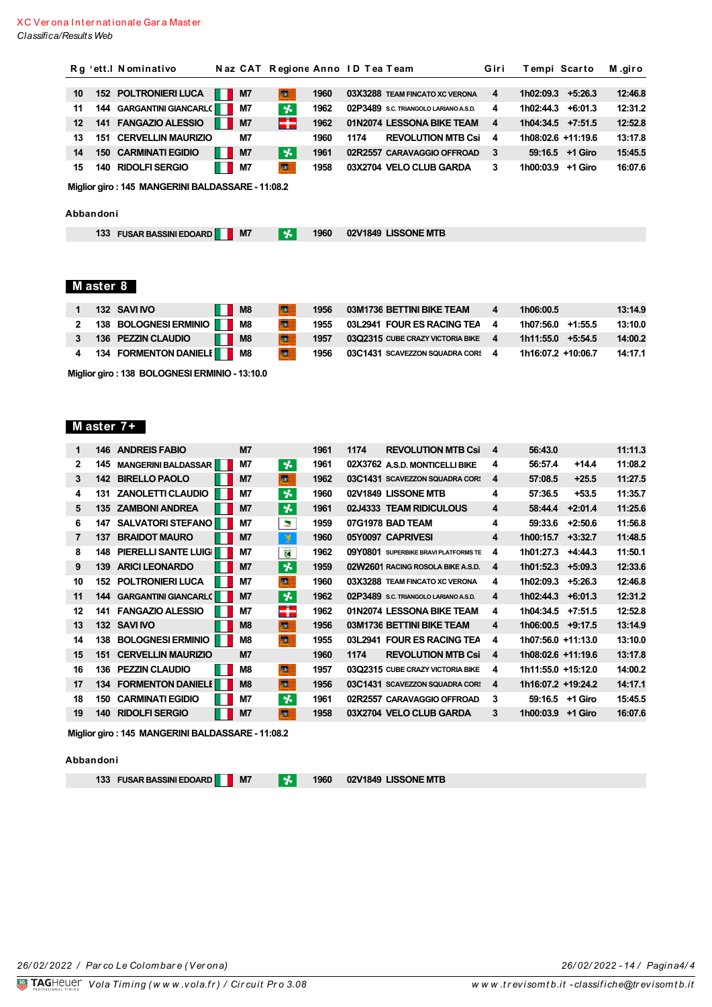|         |           | Rg 'ett. I Nominativo                            |       |                | Naz CAT Regione Anno ID Tea Team |      |      |                                       | Giri | Tempi Scarto        |                 | M.giro  |
|---------|-----------|--------------------------------------------------|-------|----------------|----------------------------------|------|------|---------------------------------------|------|---------------------|-----------------|---------|
|         |           |                                                  |       |                |                                  |      |      |                                       |      |                     |                 |         |
| 10      |           | <b>152 POLTRONIERI LUCA</b>                      | n a s | M <sub>7</sub> | ■                                | 1960 |      | 03X3288 TEAM FINCATO XC VERONA        | 4    | 1h02:09.3           | $+5:26.3$       | 12:46.8 |
| 11      |           | <b>144 GARGANTINI GIANCARL(THE</b>               |       | <b>M7</b>      | $\boldsymbol{\ast}$              | 1962 |      | 02P3489 S.C. TRIANGOLO LARIANO A.S.D. | 4    | 1h02:44.3           | $+6:01.3$       | 12:31.2 |
| $12 \,$ |           | 141 FANGAZIO ALESSIO                             | . .   | M7             | F۴                               | 1962 |      | 01N2074 LESSONA BIKE TEAM             | 4    | $1h04:34.5$ +7:51.5 |                 | 12:52.8 |
| 13      |           | <b>151 CERVELLIN MAURIZIO</b>                    |       | <b>M7</b>      |                                  | 1960 | 1174 | <b>REVOLUTION MTB Csi</b>             | 4    | 1h08:02.6 +11:19.6  |                 | 13:17.8 |
| 14      |           | <b>150 CARMINATI EGIDIO</b>                      | . .   | M7             | *                                | 1961 |      | 02R2557 CARAVAGGIO OFFROAD            | 3    |                     | 59:16.5 +1 Giro | 15:45.5 |
| 15      | 140       | <b>RIDOLFI SERGIO</b>                            | . .   | M7             | 品                                | 1958 |      | 03X2704 VELO CLUB GARDA               | 3    | 1h00:03.9           | +1 Giro         | 16:07.6 |
|         |           | Miglior giro: 145 MANGERINI BALDASSARE - 11:08.2 |       |                |                                  |      |      |                                       |      |                     |                 |         |
|         | Abbandoni |                                                  |       |                |                                  |      |      |                                       |      |                     |                 |         |
|         |           | 133 FUSAR BASSINI EDOARD                         |       | M <sub>7</sub> | <b>x</b>                         | 1960 |      | 02V1849 LISSONE MTB                   |      |                     |                 |         |

# Master 8

| 132 SAVINO                              | <b>II</b> M8 | <b>SAT</b>             | 1956 | 03M1736 BETTINI BIKE TEAM          | 1h06:00.5           | 13:14.9 |
|-----------------------------------------|--------------|------------------------|------|------------------------------------|---------------------|---------|
| 2 138 BOLOGNESI ERMINIO <b>NA 18</b> M8 |              | $\vert\mathbf{G}\vert$ | 1955 | 03L2941 FOUR ES RACING TEA         | 1h07:56.0 +1:55.5   | 13:10.0 |
| 136 PEZZIN CLAUDIO                      | <b>I</b> M8  | $ s_{\mathcal{R}} $    | 1957 | $03Q2315$ CUBE CRAZY VICTORIA BIKE | $1h11:55.0$ +5:54.5 | 14:00.2 |
| 4 134 FORMENTON DANIELI M8              |              | <b>ka E</b>            | 1956 | 03C1431 SCAVEZZON SQUADRA CORS     | 1h16:07.2 +10:06.7  | 14:17.1 |

Miglior giro: 138 BOLOGNESI ERMINIO - 13:10.0

## Master 7+

| 1            | 146 | <b>ANDREIS FABIO</b>         | M <sub>7</sub> |                      | 1961 | 1174 | <b>REVOLUTION MTB Csi</b>             | 4 | 56:43.0            |           | 11:11.3 |
|--------------|-----|------------------------------|----------------|----------------------|------|------|---------------------------------------|---|--------------------|-----------|---------|
| $\mathbf{2}$ | 145 | <b>MANGERINI BALDASSAR</b>   | <b>M7</b>      | 头                    | 1961 |      | 02X3762 A.S.D. MONTICELLI BIKE        | 4 | 56:57.4            | $+14.4$   | 11:08.2 |
| 3            | 142 | <b>BIRELLO PAOLO</b>         | M7             | 标                    | 1962 |      | 03C1431 SCAVEZZON SQUADRA COR:        | 4 | 57:08.5            | $+25.5$   | 11:27.5 |
| 4            | 131 | <b>ZANOLETTI CLAUDIO</b>     | <b>M7</b>      | 头                    | 1960 |      | 02V1849 LISSONE MTB                   | 4 | 57:36.5            | $+53.5$   | 11:35.7 |
| 5            | 135 | <b>ZAMBONI ANDREA</b>        | <b>M7</b>      | 长                    | 1961 |      | 02J4333 TEAM RIDICULOUS               | 4 | 58:44.4            | $+2:01.4$ | 11:25.6 |
| 6            | 147 | <b>SALVATORI STEFANO</b>     | <b>M7</b>      | ×                    | 1959 |      | 07G1978 BAD TEAM                      | 4 | 59:33.6            | $+2:50.6$ | 11:56.8 |
| 7            | 137 | <b>BRAIDOT MAURO</b>         | M7             | 孚                    | 1960 |      | 05Y0097 CAPRIVESI                     | 4 | 1h00:15.7          | $+3:32.7$ | 11:48.5 |
| 8            | 148 | <b>PIERELLI SANTE LUIG</b>   | <b>M7</b>      | U                    | 1962 |      | 09Y0801 SUPERBIKE BRAVI PLATFORMS TE  | 4 | 1h01:27.3          | $+4:44.3$ | 11:50.1 |
| 9            | 139 | <b>ARICI LEONARDO</b>        | M7             | $\boldsymbol{\star}$ | 1959 |      | 02W2601 RACING ROSOLA BIKE A.S.D.     | 4 | 1h01:52.3          | $+5:09.3$ | 12:33.6 |
| 10           | 152 | <b>POLTRONIERI LUCA</b>      | <b>M7</b>      | 85                   | 1960 |      | 03X3288 TEAM FINCATO XC VERONA        | 4 | 1h02:09.3          | $+5:26.3$ | 12:46.8 |
| 11           | 144 | <b>GARGANTINI GIANCARL(</b>  | <b>M7</b>      | $\star$              | 1962 |      | 02P3489 S.C. TRIANGOLO LARIANO A.S.D. | 4 | 1h02:44.3          | $+6:01.3$ | 12:31.2 |
| 12           | 141 | <b>FANGAZIO ALESSIO</b>      | M7             | æ                    | 1962 |      | 01N2074 LESSONA BIKE TEAM             | 4 | 1h04:34.5          | $+7:51.5$ | 12:52.8 |
| 13           |     | 132 SAVI IVO                 | M8             | 标                    | 1956 |      | 03M1736 BETTINI BIKE TEAM             | 4 | 1h06:00.5          | +9:17.5   | 13:14.9 |
| 14           | 138 | <b>BOLOGNESI ERMINIO</b>     | M8             | 統                    | 1955 |      | 03L2941 FOUR ES RACING TEA            | 4 | 1h07:56.0 +11:13.0 |           | 13:10.0 |
| 15           | 151 | <b>CERVELLIN MAURIZIO</b>    | M7             |                      | 1960 | 1174 | <b>REVOLUTION MTB Csi</b>             | 4 | 1h08:02.6 +11:19.6 |           | 13:17.8 |
| 16           | 136 | <b>PEZZIN CLAUDIO</b>        | M8             | <b>SA</b>            | 1957 |      | 03Q2315 CUBE CRAZY VICTORIA BIKE      | 4 | 1h11:55.0 +15:12.0 |           | 14:00.2 |
| 17           |     | <b>134 FORMENTON DANIELI</b> | M8             | 标                    | 1956 |      | 03C1431 SCAVEZZON SQUADRA COR:        | 4 | 1h16:07.2 +19:24.2 |           | 14:17.1 |
| 18           | 150 | <b>CARMINATI EGIDIO</b>      | М7             | ѩ                    | 1961 |      | 02R2557 CARAVAGGIO OFFROAD            | 3 | 59:16.5            | +1 Giro   | 15:45.5 |
| 19           | 140 | <b>RIDOLFI SERGIO</b>        | <b>M7</b>      | <b>RE</b>            | 1958 |      | 03X2704 VELO CLUB GARDA               | 3 | 1h00:03.9          | +1 Giro   | 16:07.6 |

Miglior giro: 145 MANGERINI BALDASSARE - 11:08.2

#### Abbandoni

133 FUSAR BASSINI EDOARD N7

1960 02V1849 LISSONE MTB

 $|\mathbf{x}|$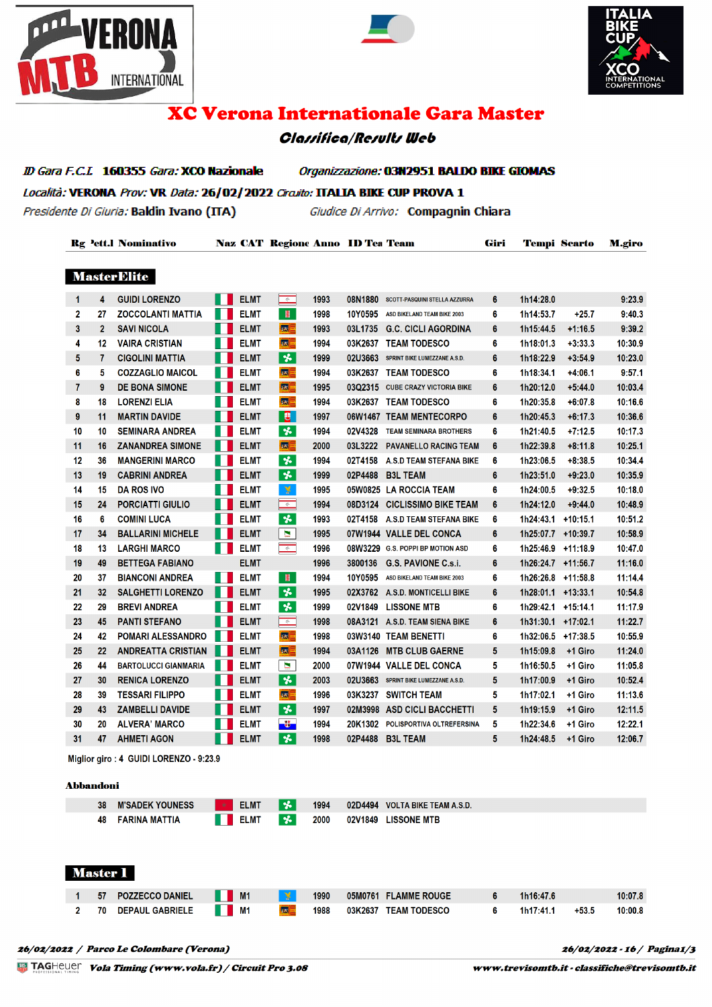





# **XC Verona Internationale Gara Master**

## **Classifica/Results Web**

ID Gara F.C.L 160355 Gara: XCO Nazionale Organizzazione: 03N2951 BALDO BIKE GIOMAS Località: VERONA Prov: VR Data: 26/02/2022 Circuito: ITALIA BIKE CUP PROVA 1 Presidente Di Giuria: Baldin Ivano (ITA) Giudice Di Arrivo: Compagnin Chiara

**Rg Pett.I Nominativo Naz CAT Regione Anno ID Tea Team** Giri **Tempi Scarto M.giro MasterElite**  $\frac{1}{2}$   $\frac{1}{2}$   $\frac{1}{2}$   $\frac{1}{2}$   $\frac{1}{2}$   $\frac{1}{2}$   $\frac{1}{2}$   $\frac{1}{2}$   $\frac{1}{2}$   $\frac{1}{2}$   $\frac{1}{2}$   $\frac{1}{2}$   $\frac{1}{2}$   $\frac{1}{2}$   $\frac{1}{2}$   $\frac{1}{2}$   $\frac{1}{2}$   $\frac{1}{2}$   $\frac{1}{2}$   $\frac{1}{2}$   $\frac{1}{2}$   $\frac{1}{2}$   $\blacksquare$  CIMT  $\blacksquare$  1003 09N1990  $\overline{1111000}$  $\sim$   $\sim$ 

| 1  | 4              | <b>GUIDI LORENZO</b>        | ELMI        | $\Rightarrow$             | 1993 | 08N1880 | SCOTT-PASQUINI STELLA AZZURRA    | 6 | 1h14:28.0          |            | 9:23.9  |
|----|----------------|-----------------------------|-------------|---------------------------|------|---------|----------------------------------|---|--------------------|------------|---------|
| 2  | 27             | <b>ZOCCOLANTI MATTIA</b>    | <b>ELMT</b> | $\mathbb{H}^{\mathbb{N}}$ | 1998 | 10Y0595 | ASD BIKELAND TEAM BIKE 2003      | 6 | 1h14:53.7          | $+25.7$    | 9:40.3  |
| 3  | $\overline{2}$ | <b>SAVI NICOLA</b>          | <b>ELMT</b> | a                         | 1993 | 03L1735 | <b>G.C. CICLI AGORDINA</b>       | 6 | 1h15:44.5          | $+1:16.5$  | 9:39.2  |
| 4  | 12             | <b>VAIRA CRISTIAN</b>       | <b>ELMT</b> | 医目                        | 1994 | 03K2637 | <b>TEAM TODESCO</b>              | 6 | 1h18:01.3          | $+3:33.3$  | 10:30.9 |
| 5  | 7              | <b>CIGOLINI MATTIA</b>      | <b>ELMT</b> | $\star$                   | 1999 | 02U3663 | SPRINT BIKE LUMEZZANE A.S.D.     | 6 | 1h18:22.9          | $+3:54.9$  | 10:23.0 |
| 6  | 5              | <b>COZZAGLIO MAICOL</b>     | <b>ELMT</b> | $ ct  =$                  | 1994 |         | 03K2637 TEAM TODESCO             | 6 | 1h18:34.1          | $+4:06.1$  | 9:57.1  |
| 7  | 9              | <b>DE BONA SIMONE</b>       | <b>ELMT</b> | $\vert x \vert =$         | 1995 |         | 03Q2315 CUBE CRAZY VICTORIA BIKE | 6 | 1h20:12.0          | $+5:44.0$  | 10:03.4 |
| 8  | 18             | <b>LORENZI ELIA</b>         | <b>ELMT</b> | ⊠目                        | 1994 |         | 03K2637 TEAM TODESCO             | 6 | 1h20:35.8          | $+6:07.8$  | 10:16.6 |
| 9  | 11             | <b>MARTIN DAVIDE</b>        | <b>ELMT</b> | B.                        | 1997 |         | 06W1467 TEAM MENTECORPO          | 6 | 1h20:45.3          | $+6:17.3$  | 10:36.6 |
| 10 | 10             | <b>SEMINARA ANDREA</b>      | <b>ELMT</b> | $\overline{\mathbf{r}}$   | 1994 | 02V4328 | <b>TEAM SEMINARA BROTHERS</b>    | 6 | 1h21:40.5          | $+7:12.5$  | 10:17.3 |
| 11 | 16             | <b>ZANANDREA SIMONE</b>     | <b>ELMT</b> | <b>KSE</b>                | 2000 | 03L3222 | <b>PAVANELLO RACING TEAM</b>     | 6 | 1h22:39.8          | $+8:11.8$  | 10:25.1 |
| 12 | 36             | <b>MANGERINI MARCO</b>      | <b>ELMT</b> | $\boldsymbol{\star}$      | 1994 | 02T4158 | <b>A.S.D TEAM STEFANA BIKE</b>   | 6 | 1h23:06.5          | $+8:38.5$  | 10:34.4 |
| 13 | 19             | <b>CABRINI ANDREA</b>       | <b>ELMT</b> | $\overline{\mathbf{r}}$   | 1999 | 02P4488 | <b>B3L TEAM</b>                  | 6 | 1h23:51.0          | $+9:23.0$  | 10:35.9 |
| 14 | 15             | <b>DA ROS IVO</b>           | <b>ELMT</b> | ¥                         | 1995 |         | 05W0825 LA ROCCIA TEAM           | 6 | 1h24:00.5          | $+9:32.5$  | 10:18.0 |
| 15 | 24             | <b>PORCIATTI GIULIO</b>     | <b>ELMT</b> | $\Rightarrow$             | 1994 | 08D3124 | <b>CICLISSIMO BIKE TEAM</b>      | 6 | 1h24:12.0          | $+9:44.0$  | 10:48.9 |
| 16 | 6              | <b>COMINI LUCA</b>          | <b>ELMT</b> | $\boldsymbol{\star}$      | 1993 | 02T4158 | A.S.D TEAM STEFANA BIKE          | 6 | 1h24:43.1          | $+10:15.1$ | 10:51.2 |
| 17 | 34             | <b>BALLARINI MICHELE</b>    | <b>ELMT</b> | ×                         | 1995 |         | 07W1944 VALLE DEL CONCA          | 6 | 1h25:07.7 +10:39.7 |            | 10:58.9 |
| 18 | 13             | <b>LARGHI MARCO</b>         | <b>ELMT</b> | $\Rightarrow$             | 1996 |         | 08W3229 G.S. POPPI BP MOTION ASD | 6 | 1h25:46.9          | $+11:18.9$ | 10:47.0 |
| 19 | 49             | <b>BETTEGA FABIANO</b>      | <b>ELMT</b> |                           | 1996 | 3800136 | G.S. PAVIONE C.s.i.              | 6 | 1h26:24.7 +11:56.7 |            | 11:16.0 |
| 20 | 37             | <b>BIANCONI ANDREA</b>      | <b>ELMT</b> | $\mathbf{H}$              | 1994 | 10Y0595 | ASD BIKELAND TEAM BIKE 2003      | 6 | 1h26:26.8          | $+11:58.8$ | 11:14.4 |
| 21 | 32             | <b>SALGHETTI LORENZO</b>    | <b>ELMT</b> | $\boldsymbol{\star}$      | 1995 |         | 02X3762 A.S.D. MONTICELLI BIKE   | 6 | 1h28:01.1 +13:33.1 |            | 10:54.8 |
| 22 | 29             | <b>BREVI ANDREA</b>         | <b>ELMT</b> | $\boldsymbol{\star}$      | 1999 | 02V1849 | <b>LISSONE MTB</b>               | 6 | 1h29:42.1          | $+15:14.1$ | 11:17.9 |
| 23 | 45             | <b>PANTI STEFANO</b>        | <b>ELMT</b> | $\Rightarrow$             | 1998 |         | 08A3121 A.S.D. TEAM SIENA BIKE   | 6 | 1h31:30.1 +17:02.1 |            | 11:22.7 |
| 24 | 42             | <b>POMARI ALESSANDRO</b>    | <b>ELMT</b> | $ ct  =$                  | 1998 |         | 03W3140 TEAM BENETTI             | 6 | 1h32:06.5          | $+17:38.5$ | 10:55.9 |
| 25 | 22             | <b>ANDREATTA CRISTIAN</b>   | <b>ELMT</b> | 医目                        | 1994 | 03A1126 | <b>MTB CLUB GAERNE</b>           | 5 | 1h15:09.8          | +1 Giro    | 11:24.0 |
| 26 | 44             | <b>BARTOLUCCI GIANMARIA</b> | <b>ELMT</b> | $\blacksquare$            | 2000 |         | 07W1944 VALLE DEL CONCA          | 5 | 1h16:50.5          | +1 Giro    | 11:05.8 |
| 27 | 30             | <b>RENICA LORENZO</b>       | <b>ELMT</b> | $\boldsymbol{\star}$      | 2003 | 02U3663 | SPRINT BIKE LUMEZZANE A.S.D.     | 5 | 1h17:00.9          | +1 Giro    | 10:52.4 |
| 28 | 39             | <b>TESSARI FILIPPO</b>      | <b>ELMT</b> | $ cK  =$                  | 1996 | 03K3237 | <b>SWITCH TEAM</b>               | 5 | 1h17:02.1          | +1 Giro    | 11:13.6 |
| 29 | 43             | <b>ZAMBELLI DAVIDE</b>      | <b>ELMT</b> | $\boldsymbol{\star}$      | 1997 |         | 02M3998 ASD CICLI BACCHETTI      | 5 | 1h19:15.9          | +1 Giro    | 12:11.5 |
| 30 | 20             | <b>ALVERA' MARCO</b>        | <b>ELMT</b> | $\frac{1}{2}$             | 1994 | 20K1302 | POLISPORTIVA OLTREFERSINA        | 5 | 1h22:34.6          | +1 Giro    | 12:22.1 |
| 31 | 47             | <b>AHMETI AGON</b>          | <b>ELMT</b> | *                         | 1998 | 02P4488 | <b>B3L TEAM</b>                  | 5 | 1h24:48.5          | +1 Giro    | 12:06.7 |
|    |                |                             |             |                           |      |         |                                  |   |                    |            |         |

Miglior giro: 4 GUIDI LORENZO - 9:23.9

#### **Abbandoni**

| <b>M'SADEK YOUNESS</b> | $\blacksquare$ ELMT<br>$\sim$ $\sim$ $\sim$ | ∎⊀ | 1994 | 02D4494 VOLTA BIKE TEAM A.S.D. |
|------------------------|---------------------------------------------|----|------|--------------------------------|
| <b>FARINA MATTIA</b>   | $\blacksquare$ ELMT $\blacksquare$          |    | 2000 | 02V1849 LISSONE MTB            |

#### **Master I**

|  | 57 POZZECCO DANIEL         M1 |           | 1990 | 05M0761 FLAMME ROUGE | 1h16:47.6 |         | 10:07.8 |
|--|-------------------------------|-----------|------|----------------------|-----------|---------|---------|
|  | 2 70 DEPAUL GABRIELE II M1    | <b>KX</b> | 1988 | 03K2637 TEAM TODESCO | 1h17:41.1 | $+53.5$ | 10:00.8 |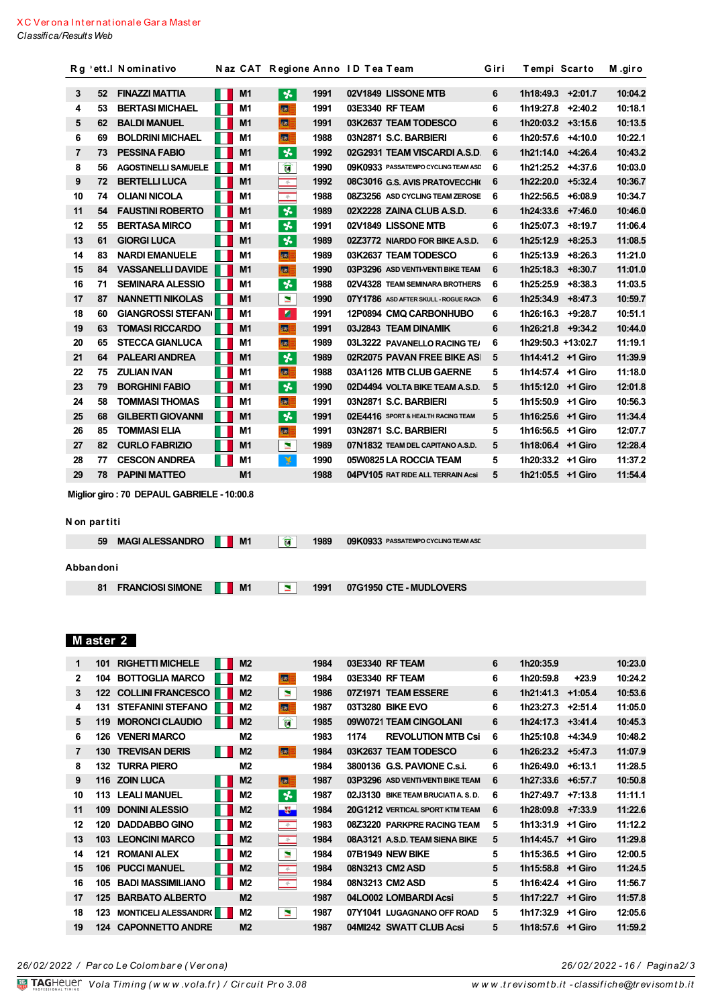|    |    | Rg 'ett.I Nominativo       |                | Naz CAT Regione Anno ID Tea Team |      |                                       | Giri | Tempi Scarto       |           | M.giro  |
|----|----|----------------------------|----------------|----------------------------------|------|---------------------------------------|------|--------------------|-----------|---------|
|    |    |                            |                |                                  |      |                                       |      |                    |           |         |
| 3  | 52 | <b>FINAZZI MATTIA</b>      | M1             | 长                                | 1991 | 02V1849 LISSONE MTB                   | 6    | 1h18:49.3          | $+2:01.7$ | 10:04.2 |
| 4  | 53 | <b>BERTASI MICHAEL</b>     | M <sub>1</sub> | 露                                | 1991 | 03E3340 RF TEAM                       | 6    | 1h19:27.8          | $+2:40.2$ | 10:18.1 |
| 5  | 62 | <b>BALDI MANUEL</b>        | M <sub>1</sub> | <b>SA</b>                        | 1991 | 03K2637 TEAM TODESCO                  | 6    | 1h20:03.2          | $+3:15.6$ | 10:13.5 |
| 6  | 69 | <b>BOLDRINI MICHAEL</b>    | M <sub>1</sub> | <b>SEC</b>                       | 1988 | 03N2871 S.C. BARBIERI                 | 6    | 1h20:57.6          | $+4:10.0$ | 10:22.1 |
| 7  | 73 | <b>PESSINA FABIO</b>       | M <sub>1</sub> | 长                                | 1992 | 02G2931 TEAM VISCARDI A.S.D.          | 6    | 1h21:14.0          | $+4:26.4$ | 10:43.2 |
| 8  | 56 | <b>AGOSTINELLI SAMUELE</b> | M <sub>1</sub> | Û                                | 1990 | 09K0933 PASSATEMPO CYCLING TEAM ASD   | 6    | 1h21:25.2          | $+4:37.6$ | 10:03.0 |
| 9  | 72 | <b>BERTELLI LUCA</b>       | M1             | $\frac{d}{dt}$                   | 1992 | 08C3016 G.S. AVIS PRATOVECCHI         | 6    | 1h22:20.0          | $+5:32.4$ | 10:36.7 |
| 10 | 74 | <b>OLIANI NICOLA</b>       | M <sub>1</sub> | $\frac{1}{N}$                    | 1988 | 08Z3256 ASD CYCLING TEAM ZEROSE       | 6    | 1h22:56.5          | $+6:08.9$ | 10:34.7 |
| 11 | 54 | <b>FAUSTINI ROBERTO</b>    | M <sub>1</sub> | $\overline{\mathbf{r}}$          | 1989 | 02X2228 ZAINA CLUB A.S.D.             | 6    | 1h24:33.6          | $+7:46.0$ | 10:46.0 |
| 12 | 55 | <b>BERTASA MIRCO</b>       | M1             | $\boldsymbol{\ast}$              | 1991 | 02V1849 LISSONE MTB                   | 6    | 1h25:07.3          | $+8:19.7$ | 11:06.4 |
| 13 | 61 | <b>GIORGI LUCA</b>         | M1             | $\star$                          | 1989 | 02Z3772 NIARDO FOR BIKE A.S.D.        | 6    | 1h25:12.9          | $+8:25.3$ | 11:08.5 |
| 14 | 83 | <b>NARDI EMANUELE</b>      | M <sub>1</sub> | 客                                | 1989 | 03K2637 TEAM TODESCO                  | 6    | 1h25:13.9          | $+8:26.3$ | 11:21.0 |
| 15 | 84 | <b>VASSANELLI DAVIDE</b>   | M1             | 标                                | 1990 | 03P3296 ASD VENTI-VENTI BIKE TEAM     | 6    | 1h25:18.3          | $+8:30.7$ | 11:01.0 |
| 16 | 71 | <b>SEMINARA ALESSIO</b>    | M <sub>1</sub> | 头                                | 1988 | 02V4328 TEAM SEMINARA BROTHERS        | 6    | 1h25:25.9          | $+8:38.3$ | 11:03.5 |
| 17 | 87 | <b>NANNETTI NIKOLAS</b>    | M1             | $\blacksquare$                   | 1990 | 07Y1786 ASD AFTER SKULL - ROGUE RACIN | 6    | 1h25:34.9          | $+8:47.3$ | 10:59.7 |
| 18 | 60 | <b>GIANGROSSI STEFANI</b>  | M1             | ø.                               | 1991 | 12P0894 CMQ CARBONHUBO                | 6    | 1h26:16.3          | $+9:28.7$ | 10:51.1 |
| 19 | 63 | <b>TOMASI RICCARDO</b>     | M1             | 國                                | 1991 | 03J2843 TEAM DINAMIK                  | 6    | 1h26:21.8          | $+9:34.2$ | 10:44.0 |
| 20 | 65 | <b>STECCA GIANLUCA</b>     | M1             | 体                                | 1989 | 03L3222 PAVANELLO RACING TE/          | 6    | 1h29:50.3 +13:02.7 |           | 11:19.1 |
| 21 | 64 | <b>PALEARI ANDREA</b>      | M1             | ች                                | 1989 | 02R2075 PAVAN FREE BIKE AS            | 5    | 1h14:41.2 +1 Giro  |           | 11:39.9 |
| 22 | 75 | <b>ZULIAN IVAN</b>         | M1             | <b>SE</b>                        | 1988 | 03A1126 MTB CLUB GAERNE               | 5    | 1h14:57.4 +1 Giro  |           | 11:18.0 |
| 23 | 79 | <b>BORGHINI FABIO</b>      | M <sub>1</sub> | $\star$                          | 1990 | 02D4494 VOLTA BIKE TEAM A.S.D.        | 5    | 1h15:12.0 +1 Giro  |           | 12:01.8 |
| 24 | 58 | <b>TOMMASI THOMAS</b>      | M <sub>1</sub> | 医                                | 1991 | 03N2871 S.C. BARBIERI                 | 5    | 1h15:50.9          | +1 Giro   | 10:56.3 |
| 25 | 68 | <b>GILBERTI GIOVANNI</b>   | M1             | $\star$                          | 1991 | 02E4416 SPORT & HEALTH RACING TEAM    | 5    | 1h16:25.6 +1 Giro  |           | 11:34.4 |
| 26 | 85 | <b>TOMMASI ELIA</b>        | M <sub>1</sub> | 國                                | 1991 | 03N2871 S.C. BARBIERI                 | 5    | 1h16:56.5 +1 Giro  |           | 12:07.7 |
| 27 | 82 | <b>CURLO FABRIZIO</b>      | M <sub>1</sub> | $\blacksquare$                   | 1989 | 07N1832 TEAM DEL CAPITANO A.S.D.      | 5    | 1h18:06.4 +1 Giro  |           | 12:28.4 |
| 28 | 77 | <b>CESCON ANDREA</b>       | M <sub>1</sub> | ¥                                | 1990 | 05W0825 LA ROCCIA TEAM                | 5    | 1h20:33.2 +1 Giro  |           | 11:37.2 |
| 29 | 78 | <b>PAPINI MATTEO</b>       | M1             |                                  | 1988 | 04PV105 RAT RIDE ALL TERRAIN Acsi     | 5    | 1h21:05.5 +1 Giro  |           | 11:54.4 |
|    |    |                            |                |                                  |      |                                       |      |                    |           |         |

Miglior giro: 70 DEPAUL GABRIELE - 10:00.8

#### N on partiti

| 59 MAGIALESSANDRO NI M1       |           | $\blacksquare$ | 1989 | 09K0933 PASSATEMPO CYCLING TEAM ASI |
|-------------------------------|-----------|----------------|------|-------------------------------------|
| Abbandoni                     |           |                |      |                                     |
| <b>FRANCIOSI SIMONE</b><br>81 | . .<br>M1 | N              | 1991 | 07G1950 CTE - MUDLOVERS             |

# Master 2

| 1            | 101  | <b>RIGHETTI MICHELE</b>      |    | M <sub>2</sub> |                          | 1984 |      | 03E3340 RF TEAM                   | 6 | 1h20:35.9 |           | 10:23.0 |
|--------------|------|------------------------------|----|----------------|--------------------------|------|------|-----------------------------------|---|-----------|-----------|---------|
| $\mathbf{2}$ | 104  | <b>BOTTOGLIA MARCO</b>       |    | M <sub>2</sub> | <b>SAT</b>               | 1984 |      | 03E3340 RF TEAM                   | 6 | 1h20:59.8 | $+23.9$   | 10:24.2 |
| 3            | 122  | <b>COLLINI FRANCESCO</b>     |    | M <sub>2</sub> | м                        | 1986 |      | 07Z1971 TEAM ESSERE               | 6 | 1h21:41.3 | $+1:05.4$ | 10:53.6 |
| 4            | 131  | <b>STEFANINI STEFANO</b>     |    | M2             | 55                       | 1987 |      | 03T3280 BIKE EVO                  | 6 | 1h23:27.3 | $+2:51.4$ | 11:05.0 |
| 5            | 119  | <b>MORONCI CLAUDIO</b>       | M. | M <sub>2</sub> | Û                        | 1985 |      | 09W0721 TEAM CINGOLANI            | 6 | 1h24:17.3 | $+3:41.4$ | 10:45.3 |
| 6            | 126  | <b>VENERI MARCO</b>          |    | M2             |                          | 1983 | 1174 | <b>REVOLUTION MTB Csi</b>         | 6 | 1h25:10.8 | $+4:34.9$ | 10:48.2 |
| 7            | 130  | <b>TREVISAN DERIS</b>        | I. | M <sub>2</sub> | 猛                        | 1984 |      | 03K2637 TEAM TODESCO              | 6 | 1h26:23.2 | $+5:47.3$ | 11:07.9 |
| 8            | 132  | <b>TURRA PIERO</b>           |    | M2             |                          | 1984 |      | 3800136 G.S. PAVIONE C.s.i.       | 6 | 1h26:49.0 | $+6:13.1$ | 11:28.5 |
| 9            | 116  | <b>ZOIN LUCA</b>             |    | M <sub>2</sub> | 85                       | 1987 |      | 03P3296 ASD VENTI-VENTI BIKE TEAM | 6 | 1h27:33.6 | $+6:57.7$ | 10:50.8 |
| 10           | 113. | <b>LEALI MANUEL</b>          |    | M2             | $\star$                  | 1987 |      | 02J3130 BIKE TEAM BRUCIATI A.S.D. | 6 | 1h27:49.7 | $+7:13.8$ | 11:11.1 |
| 11           | 109  | <b>DONINI ALESSIO</b>        |    | M <sub>2</sub> | $\mathbf{z}$             | 1984 |      | 20G1212 VERTICAL SPORT KTM TEAM   | 6 | 1h28:09.8 | $+7:33.9$ | 11:22.6 |
| 12           | 120  | <b>DADDABBO GINO</b>         |    | M2             | $\frac{1}{N}$            | 1983 |      | 08Z3220 PARKPRE RACING TEAM       | 5 | 1h13:31.9 | +1 Giro   | 11:12.2 |
| 13           | 103  | <b>LEONCINI MARCO</b>        |    | M <sub>2</sub> | $\Rightarrow$            | 1984 |      | 08A3121 A.S.D. TEAM SIENA BIKE    | 5 | 1h14:45.7 | +1 Giro   | 11:29.8 |
| 14           | 121  | <b>ROMANI ALEX</b>           |    | M2             | ×                        | 1984 |      | 07B1949 NEW BIKE                  | 5 | 1h15:36.5 | +1 Giro   | 12:00.5 |
| 15           | 106  | <b>PUCCI MANUEL</b>          |    | M <sub>2</sub> | $\frac{1}{N}$            | 1984 |      | 08N3213 CM2 ASD                   | 5 | 1h15:58.8 | +1 Giro   | 11:24.5 |
| 16           | 105  | <b>BADI MASSIMILIANO</b>     |    | M <sub>2</sub> | $\overline{\mathcal{L}}$ | 1984 |      | 08N3213 CM2 ASD                   | 5 | 1h16:42.4 | +1 Giro   | 11:56.7 |
| 17           | 125  | <b>BARBATO ALBERTO</b>       |    | M <sub>2</sub> |                          | 1987 |      | 04LO002 LOMBARDI Acsi             | 5 | 1h17:22.7 | +1 Giro   | 11:57.8 |
| 18           | 123  | <b>MONTICELI ALESSANDR()</b> |    | M <sub>2</sub> | E.                       | 1987 |      | 07Y1041 LUGAGNANO OFF ROAD        | 5 | 1h17:32.9 | +1 Giro   | 12:05.6 |
| 19           | 124  | <b>CAPONNETTO ANDRE</b>      |    | M <sub>2</sub> |                          | 1987 |      | 04MI242 SWATT CLUB Acsi           | 5 | 1h18:57.6 | +1 Giro   | 11:59.2 |
|              |      |                              |    |                |                          |      |      |                                   |   |           |           |         |